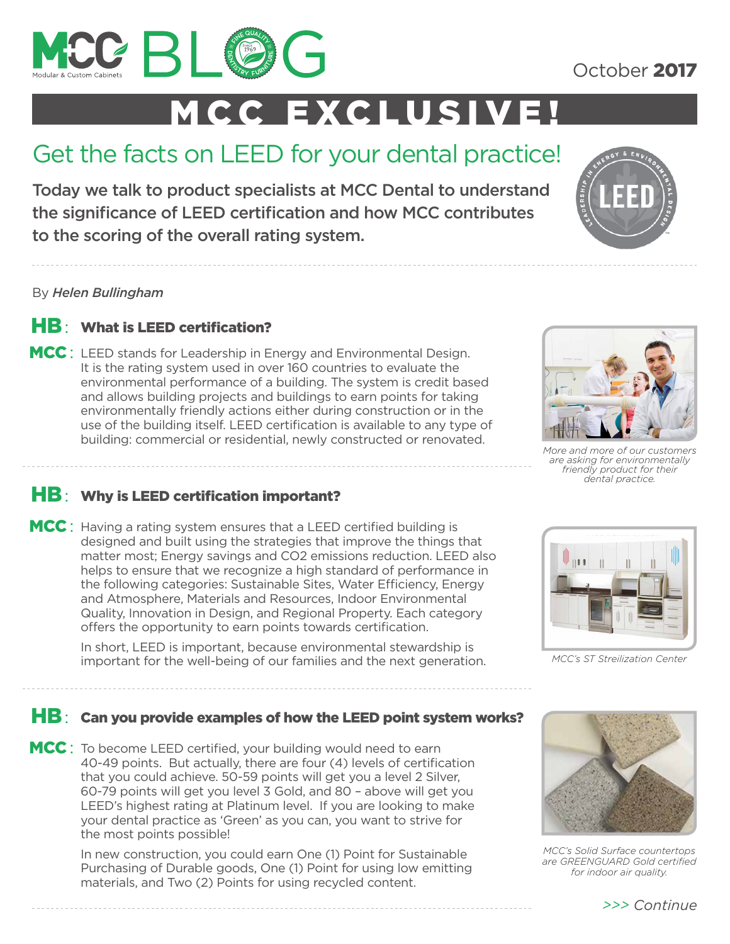

October 2017

# MCC EXCLUSIVE!

# Get the facts on LEED for your dental practice!

Today we talk to product specialists at MCC Dental to understand the significance of LEED certification and how MCC contributes to the scoring of the overall rating system.

By *Helen Bullingham*



MCC: LEED stands for Leadership in Energy and Environmental Design. It is the rating system used in over 160 countries to evaluate the environmental performance of a building. The system is credit based and allows building projects and buildings to earn points for taking environmentally friendly actions either during construction or in the use of the building itself. LEED certification is available to any type of building: commercial or residential, newly constructed or renovated.





*More and more of our customers are asking for environmentally friendly product for their dental practice.*

## HB: Why is LEED certification important?

MCC: Having a rating system ensures that a LEED certified building is designed and built using the strategies that improve the things that matter most; Energy savings and CO2 emissions reduction. LEED also helps to ensure that we recognize a high standard of performance in the following categories: Sustainable Sites, Water Efficiency, Energy and Atmosphere, Materials and Resources, Indoor Environmental Quality, Innovation in Design, and Regional Property. Each category offers the opportunity to earn points towards certification.

> In short, LEED is important, because environmental stewardship is important for the well-being of our families and the next generation.



*MCC's ST Streilization Center* 

## HB: Can you provide examples of how the LEED point system works?

MCC: To become LEED certified, your building would need to earn 40-49 points. But actually, there are four (4) levels of certification that you could achieve. 50-59 points will get you a level 2 Silver, 60-79 points will get you level 3 Gold, and 80 – above will get you LEED's highest rating at Platinum level. If you are looking to make your dental practice as 'Green' as you can, you want to strive for the most points possible!

> In new construction, you could earn One (1) Point for Sustainable Purchasing of Durable goods, One (1) Point for using low emitting materials, and Two (2) Points for using recycled content.



*MCC's Solid Surface countertops are GREENGUARD Gold certified for indoor air quality.*